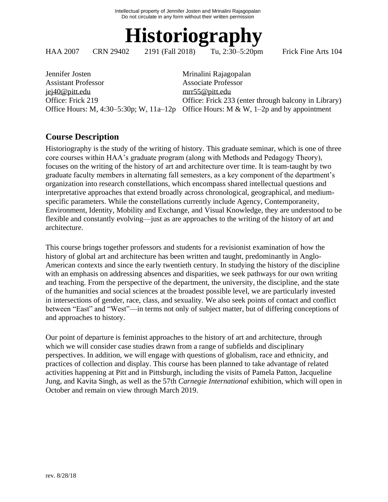

HAA 2007 CRN 29402 2191 (Fall 2018) Tu, 2:30–5:20pm Frick Fine Arts 104

Jennifer Josten Mrinalini Rajagopalan Assistant Professor Associate Professor [jej40@pitt.edu](mailto:jej40@pitt.edu) [mrr55@pitt.edu](mailto:mrr55@pitt.edu)

Office: Frick 219 Office: Frick 233 (enter through balcony in Library) Office Hours: M, 4:30–5:30p; W, 11a–12p Office Hours: M & W, 1–2p and by appointment

# **Course Description**

Historiography is the study of the writing of history. This graduate seminar, which is one of three core courses within HAA's graduate program (along with Methods and Pedagogy Theory), focuses on the writing of the history of art and architecture over time. It is team-taught by two graduate faculty members in alternating fall semesters, as a key component of the department's organization into research constellations, which encompass shared intellectual questions and interpretative approaches that extend broadly across chronological, geographical, and mediumspecific parameters. While the constellations currently include Agency, Contemporaneity, Environment, Identity, Mobility and Exchange, and Visual Knowledge, they are understood to be flexible and constantly evolving—just as are approaches to the writing of the history of art and architecture.

This course brings together professors and students for a revisionist examination of how the history of global art and architecture has been written and taught, predominantly in Anglo-American contexts and since the early twentieth century. In studying the history of the discipline with an emphasis on addressing absences and disparities, we seek pathways for our own writing and teaching. From the perspective of the department, the university, the discipline, and the state of the humanities and social sciences at the broadest possible level, we are particularly invested in intersections of gender, race, class, and sexuality. We also seek points of contact and conflict between "East" and "West"—in terms not only of subject matter, but of differing conceptions of and approaches to history.

Our point of departure is feminist approaches to the history of art and architecture, through which we will consider case studies drawn from a range of subfields and disciplinary perspectives. In addition, we will engage with questions of globalism, race and ethnicity, and practices of collection and display. This course has been planned to take advantage of related activities happening at Pitt and in Pittsburgh, including the visits of Pamela Patton, Jacqueline Jung, and Kavita Singh, as well as the 57th *Carnegie International* exhibition, which will open in October and remain on view through March 2019.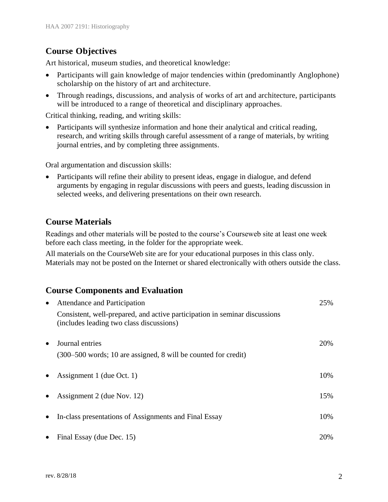# **Course Objectives**

Art historical, museum studies, and theoretical knowledge:

- Participants will gain knowledge of major tendencies within (predominantly Anglophone) scholarship on the history of art and architecture.
- Through readings, discussions, and analysis of works of art and architecture, participants will be introduced to a range of theoretical and disciplinary approaches.

Critical thinking, reading, and writing skills:

• Participants will synthesize information and hone their analytical and critical reading, research, and writing skills through careful assessment of a range of materials, by writing journal entries, and by completing three assignments.

Oral argumentation and discussion skills:

• Participants will refine their ability to present ideas, engage in dialogue, and defend arguments by engaging in regular discussions with peers and guests, leading discussion in selected weeks, and delivering presentations on their own research.

# **Course Materials**

Readings and other materials will be posted to the course's Courseweb site at least one week before each class meeting, in the folder for the appropriate week.

All materials on the CourseWeb site are for your educational purposes in this class only. Materials may not be posted on the Internet or shared electronically with others outside the class.

# **Course Components and Evaluation**

| $\bullet$ | Attendance and Participation                                                                                           | 25%  |
|-----------|------------------------------------------------------------------------------------------------------------------------|------|
|           | Consistent, well-prepared, and active participation in seminar discussions<br>(includes leading two class discussions) |      |
| $\bullet$ | Journal entries<br>(300–500 words; 10 are assigned, 8 will be counted for credit)                                      | 20%  |
| $\bullet$ | Assignment 1 (due Oct. 1)                                                                                              | 10%  |
| $\bullet$ | Assignment 2 (due Nov. 12)                                                                                             | 15%  |
| $\bullet$ | In-class presentations of Assignments and Final Essay                                                                  | 10%  |
| $\bullet$ | Final Essay (due Dec. 15)                                                                                              | 20\% |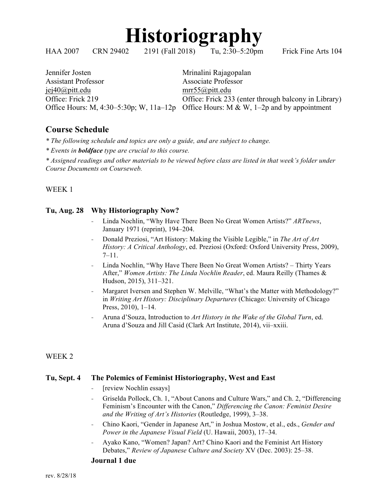

HAA 2007 CRN 29402 2191 (Fall 2018) Tu, 2:30–5:20pm Frick Fine Arts 104

Jennifer Josten Mrinalini Rajagopalan Assistant Professor Associate Professor jej40@pitt.edu mrr55@pitt.edu

Office: Frick 219 Office: Frick 233 (enter through balcony in Library) Office Hours: M, 4:30–5:30p; W, 11a–12p Office Hours: M & W, 1–2p and by appointment

# **Course Schedule**

*\* The following schedule and topics are only a guide, and are subject to change.* 

*\* Events in boldface type are crucial to this course.*

*\* Assigned readings and other materials to be viewed before class are listed in that week's folder under Course Documents on Courseweb.*

# WEEK 1

# **Tu, Aug. 28 Why Historiography Now?**

- Linda Nochlin, "Why Have There Been No Great Women Artists?" *ARTnews*, January 1971 (reprint), 194–204.
- Donald Preziosi, "Art History: Making the Visible Legible," in *The Art of Art History: A Critical Anthology*, ed. Preziosi (Oxford: Oxford University Press, 2009),  $7-11.$
- Linda Nochlin, "Why Have There Been No Great Women Artists? Thirty Years After," *Women Artists: The Linda Nochlin Reader*, ed. Maura Reilly (Thames & Hudson, 2015), 311–321.
- Margaret Iversen and Stephen W. Melville, "What's the Matter with Methodology?" in *Writing Art History: Disciplinary Departures* (Chicago: University of Chicago Press, 2010), 1–14.
- Aruna d'Souza, Introduction to *Art History in the Wake of the Global Turn*, ed. Aruna d'Souza and Jill Casid (Clark Art Institute, 2014), vii–xxiii.

# WEEK 2

# **Tu, Sept. 4 The Polemics of Feminist Historiography, West and East**

- [review Nochlin essays]
- Griselda Pollock, Ch. 1, "About Canons and Culture Wars," and Ch. 2, "Differencing Feminism's Encounter with the Canon," *Differencing the Canon: Feminist Desire and the Writing of Art's Histories* (Routledge, 1999), 3–38.
- Chino Kaori, "Gender in Japanese Art," in Joshua Mostow, et al., eds., *Gender and Power in the Japanese Visual Field* (U. Hawaii, 2003), 17–34.
- Ayako Kano, "Women? Japan? Art? Chino Kaori and the Feminist Art History Debates," *Review of Japanese Culture and Society* XV (Dec. 2003): 25–38.

#### **Journal 1 due**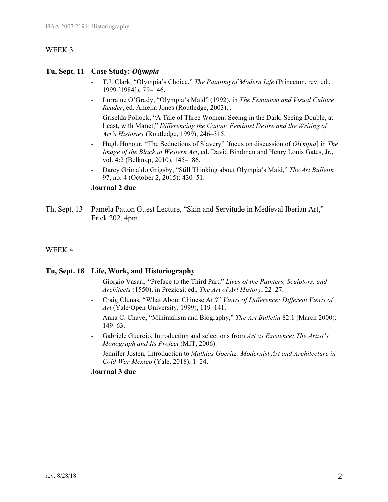## **Tu, Sept. 11 Case Study:** *Olympia*

- T.J. Clark, "Olympia's Choice," *The Painting of Modern Life* (Princeton, rev. ed., 1999 [1984]), 79–146.
- Lorraine O'Grady, "Olympia's Maid" (1992), in *The Feminism and Visual Culture Reader*, ed. Amelia Jones (Routledge, 2003), .
- Griselda Pollock, "A Tale of Three Women: Seeing in the Dark, Seeing Double, at Least, with Manet," *Differencing the Canon: Feminist Desire and the Writing of Art's Histories* (Routledge, 1999), 246–315.
- Hugh Honour, "The Seductions of Slavery" [focus on discussion of *Olympia*] in *The Image of the Black in Western Art*, ed. David Bindman and Henry Louis Gates, Jr., vol. 4:2 (Belknap, 2010), 145–186.
- Darcy Grimaldo Grigsby, "Still Thinking about Olympia's Maid," *The Art Bulletin* 97, no. 4 (October 2, 2015): 430–51.

## **Journal 2 due**

Th, Sept. 13 Pamela Patton Guest Lecture, "Skin and Servitude in Medieval Iberian Art," Frick 202, 4pm

#### WEEK 4

#### **Tu, Sept. 18 Life, Work, and Historiography**

- Giorgio Vasari, "Preface to the Third Part," *Lives of the Painters, Sculptors, and Architects* (1550), in Preziosi, ed., *The Art of Art History*, 22–27.
- Craig Clunas, "What About Chinese Art?" *Views of Difference: Different Views of Art* (Yale/Open University, 1999), 119–141.
- Anna C. Chave, "Minimalism and Biography," *The Art Bulletin* 82:1 (March 2000): 149–63.
- Gabriele Guercio, Introduction and selections from *Art as Existence: The Artist's Monograph and Its Project* (MIT, 2006).
- Jennifer Josten, Introduction to *Mathias Goeritz: Modernist Art and Architecture in Cold War Mexico* (Yale, 2018), 1–24.

#### **Journal 3 due**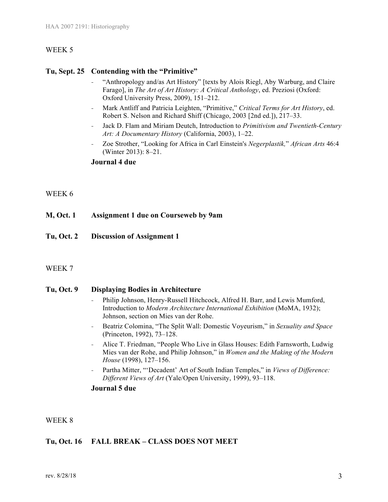#### **Tu, Sept. 25 Contending with the "Primitive"**

- "Anthropology and/as Art History" [texts by Alois Riegl, Aby Warburg, and Claire Farago], in *The Art of Art History: A Critical Anthology*, ed. Preziosi (Oxford: Oxford University Press, 2009), 151–212.
- Mark Antliff and Patricia Leighten, "Primitive," *Critical Terms for Art History*, ed. Robert S. Nelson and Richard Shiff (Chicago, 2003 [2nd ed.]), 217–33.
- Jack D. Flam and Miriam Deutch, Introduction to *Primitivism and Twentieth-Century Art: A Documentary History* (California, 2003), 1–22.
- Zoe Strother, "Looking for Africa in Carl Einstein's *Negerplastik,*" *African Arts* 46:4 (Winter 2013): 8–21.

#### **Journal 4 due**

#### WEEK 6

- **M, Oct. 1 Assignment 1 due on Courseweb by 9am**
- **Tu, Oct. 2 Discussion of Assignment 1**

#### WEEK 7

#### **Tu, Oct. 9 Displaying Bodies in Architecture**

- Philip Johnson, Henry-Russell Hitchcock, Alfred H. Barr, and Lewis Mumford, Introduction to *Modern Architecture International Exhibition* (MoMA, 1932); Johnson, section on Mies van der Rohe.
- Beatriz Colomina, "The Split Wall: Domestic Voyeurism," in *Sexuality and Space* (Princeton, 1992), 73–128.
- Alice T. Friedman, "People Who Live in Glass Houses: Edith Farnsworth, Ludwig Mies van der Rohe, and Philip Johnson," in *Women and the Making of the Modern House* (1998), 127–156.
- Partha Mitter, "'Decadent' Art of South Indian Temples," in *Views of Difference: Different Views of Art* (Yale/Open University, 1999), 93–118.

#### **Journal 5 due**

WEEK 8

# **Tu, Oct. 16 FALL BREAK – CLASS DOES NOT MEET**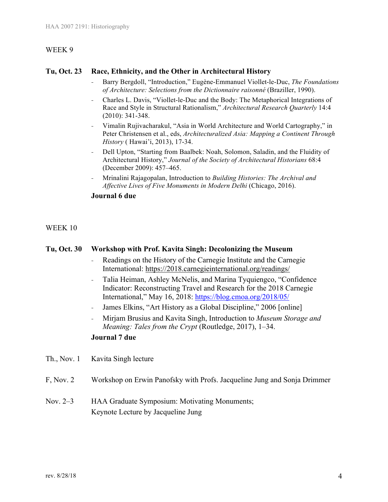## **Tu, Oct. 23 Race, Ethnicity, and the Other in Architectural History**

- Barry Bergdoll, "Introduction," Eugène-Emmanuel Viollet-le-Duc, *The Foundations of Architecture: Selections from the Dictionnaire raisonné* (Braziller, 1990).
- Charles L. Davis, "Viollet-le-Duc and the Body: The Metaphorical Integrations of Race and Style in Structural Rationalism," *Architectural Research Quarterly* 14:4 (2010): 341-348.
- Vimalin Rujivacharakul, "Asia in World Architecture and World Cartography," in Peter Christensen et al., eds, *Architecturalized Asia: Mapping a Continent Through History* ( Hawai'i, 2013), 17-34.
- Dell Upton, "Starting from Baalbek: Noah, Solomon, Saladin, and the Fluidity of Architectural History," *Journal of the Society of Architectural Historians* 68:4 (December 2009): 457–465.
- Mrinalini Rajagopalan, Introduction to *Building Histories: The Archival and Affective Lives of Five Monuments in Modern Delhi* (Chicago, 2016).

## **Journal 6 due**

WEEK 10

# **Tu, Oct. 30 Workshop with Prof. Kavita Singh: Decolonizing the Museum**

- Readings on the History of the Carnegie Institute and the Carnegie International: https://2018.carnegieinternational.org/readings/
- Talia Heiman, Ashley McNelis, and Marina Tyquiengco, "Confidence Indicator: Reconstructing Travel and Research for the 2018 Carnegie International," May 16, 2018: https://blog.cmoa.org/2018/05/
- James Elkins, "Art History as a Global Discipline," 2006 [online]
- Mirjam Brusius and Kavita Singh, Introduction to *Museum Storage and Meaning: Tales from the Crypt* (Routledge, 2017), 1–34.

# **Journal 7 due**

- Th., Nov. 1 Kavita Singh lecture
- F, Nov. 2 Workshop on Erwin Panofsky with Profs. Jacqueline Jung and Sonja Drimmer
- Nov. 2–3 HAA Graduate Symposium: Motivating Monuments; Keynote Lecture by Jacqueline Jung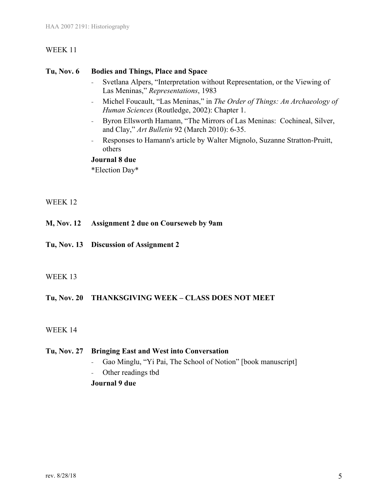#### **Tu, Nov. 6 Bodies and Things, Place and Space**

- Svetlana Alpers, "Interpretation without Representation, or the Viewing of Las Meninas," *Representations*, 1983
- Michel Foucault, "Las Meninas," in *The Order of Things: An Archaeology of Human Sciences* (Routledge, 2002): Chapter 1.
- Byron Ellsworth Hamann, "The Mirrors of Las Meninas: Cochineal, Silver, and Clay," *Art Bulletin* 92 (March 2010): 6-35.
- Responses to Hamann's article by Walter Mignolo, Suzanne Stratton-Pruitt, others

#### **Journal 8 due**

\*Election Day\*

# WEEK 12

- **M, Nov. 12 Assignment 2 due on Courseweb by 9am**
- **Tu, Nov. 13 Discussion of Assignment 2**

# WEEK 13

# **Tu, Nov. 20 THANKSGIVING WEEK – CLASS DOES NOT MEET**

# WEEK 14

# **Tu, Nov. 27 Bringing East and West into Conversation**

- Gao Minglu, "Yi Pai, The School of Notion" [book manuscript]
- Other readings tbd
- **Journal 9 due**